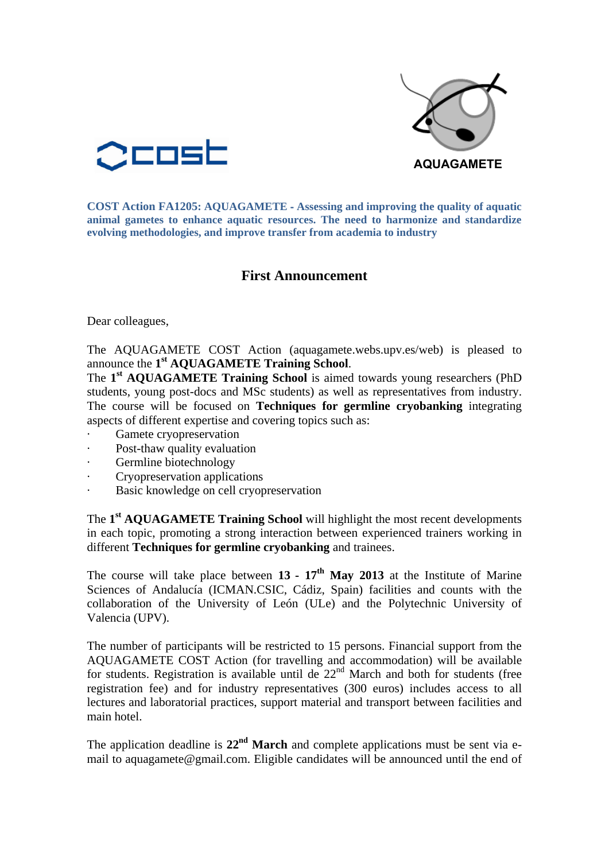



**COST Action FA1205: AQUAGAMETE** ‐ **Assessing and improving the quality of aquatic animal gametes to enhance aquatic resources. The need to harmonize and standardize evolving methodologies, and improve transfer from academia to industry**

## **First Announcement**

Dear colleagues,

The AQUAGAMETE COST Action (aquagamete.webs.upv.es/web) is pleased to announce the **1 st AQUAGAMETE Training School**.

The **1 st AQUAGAMETE Training School** is aimed towards young researchers (PhD students, young post-docs and MSc students) as well as representatives from industry. The course will be focused on **Techniques for germline cryobanking** integrating aspects of different expertise and covering topics such as:

- Gamete cryopreservation
- Post-thaw quality evaluation
- Germline biotechnology
- · Cryopreservation applications
- Basic knowledge on cell cryopreservation

The **1 st AQUAGAMETE Training School** will highlight the most recent developments in each topic, promoting a strong interaction between experienced trainers working in different **Techniques for germline cryobanking** and trainees.

The course will take place between  $13 - 17$ <sup>th</sup> May 2013 at the Institute of Marine Sciences of Andalucía (ICMAN.CSIC, Cádiz, Spain) facilities and counts with the collaboration of the University of León (ULe) and the Polytechnic University of Valencia (UPV).

The number of participants will be restricted to 15 persons. Financial support from the AQUAGAMETE COST Action (for travelling and accommodation) will be available for students. Registration is available until de  $22<sup>nd</sup>$  March and both for students (free registration fee) and for industry representatives (300 euros) includes access to all lectures and laboratorial practices, support material and transport between facilities and main hotel.

The application deadline is **22nd March** and complete applications must be sent via email to aquagamete@gmail.com. Eligible candidates will be announced until the end of